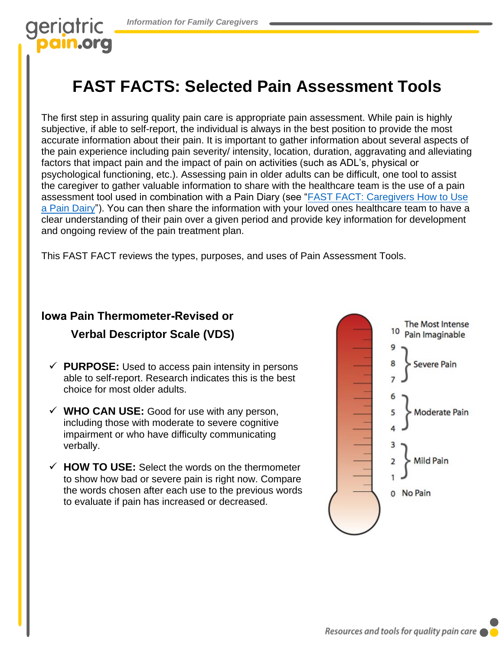# geriatric pain.org

# **FAST FACTS: Selected Pain Assessment Tools**

The first step in assuring quality pain care is appropriate pain assessment. While pain is highly subjective, if able to self-report, the individual is always in the best position to provide the most accurate information about their pain. It is important to gather information about several aspects of the pain experience including pain severity/ intensity, location, duration, aggravating and alleviating factors that impact pain and the impact of pain on activities (such as ADL's, physical or psychological functioning, etc.). Assessing pain in older adults can be difficult, one tool to assist the caregiver to gather valuable information to share with the healthcare team is the use of a pain assessment tool used in combination with a Pain Diary (see "FAST FACT: Caregivers How to Use [a Pain Dairy"](https://geriatricpain.org/sites/geriatricpain.org/files/2021-04/FF%20Caregivers_When%20to%20Use%20Pain%20Diary%20%282020%29.pdf)). You can then share the information with your loved ones healthcare team to have a clear understanding of their pain over a given period and provide key information for development and ongoing review of the pain treatment plan.

This FAST FACT reviews the types, purposes, and uses of Pain Assessment Tools.

## **Iowa Pain Thermometer-Revised or Verbal Descriptor Scale (VDS)**

- $\checkmark$  **PURPOSE:** Used to access pain intensity in persons able to self-report. Research indicates this is the best choice for most older adults.
- ✓ **WHO CAN USE:** Good for use with any person, including those with moderate to severe cognitive impairment or who have difficulty communicating verbally.
- ✓ **HOW TO USE:** Select the words on the thermometer to show how bad or severe pain is right now. Compare the words chosen after each use to the previous words to evaluate if pain has increased or decreased.

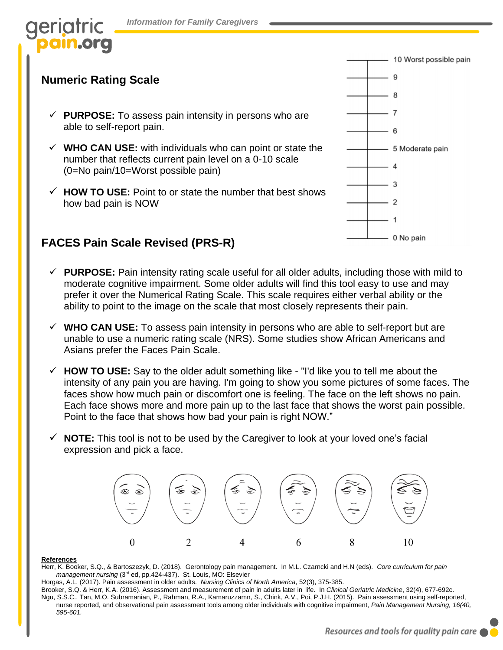#### **Numeric Rating Scale**

- $\checkmark$  **PURPOSE:** To assess pain intensity in persons who are able to self-report pain.
- $\checkmark$  WHO CAN USE: with individuals who can point or state the number that reflects current pain level on a 0-10 scale (0=No pain/10=Worst possible pain)
- ✓ **HOW TO USE:** Point to or state the number that best shows how bad pain is NOW

#### **FACES Pain Scale Revised (PRS-R)**

- $\checkmark$  **PURPOSE:** Pain intensity rating scale useful for all older adults, including those with mild to moderate cognitive impairment. Some older adults will find this tool easy to use and may prefer it over the Numerical Rating Scale. This scale requires either verbal ability or the ability to point to the image on the scale that most closely represents their pain.
- ✓ **WHO CAN USE:** To assess pain intensity in persons who are able to self-report but are unable to use a numeric rating scale (NRS). Some studies show African Americans and Asians prefer the Faces Pain Scale.
- ✓ **HOW TO USE:** Say to the older adult something like "I'd like you to tell me about the intensity of any pain you are having. I'm going to show you some pictures of some faces. The faces show how much pain or discomfort one is feeling. The face on the left shows no pain. Each face shows more and more pain up to the last face that shows the worst pain possible. Point to the face that shows how bad your pain is right NOW."
- ✓ **NOTE:** This tool is not to be used by the Caregiver to look at your loved one's facial expression and pick a face.



#### **References**

Herr, K. Booker, S.Q., & Bartoszezyk, D. (2018). Gerontology pain management. In M.L. Czarncki and H.N (eds). *Core curriculum for pain management nursing* (3rd ed, pp.424-437). St. Louis, MO: Elsevier

Horgas, A.L. (2017). Pain assessment in older adults. *Nursing Clinics of North America*, 52(3), 375-385.

Brooker, S.Q. & Herr, K.A. (2016). Assessment and measurement of pain in adults later in life. In *Clinical Geriatric Medicine*, 32(4), 677-692c.

Ngu, S.S.C., Tan, M.O. Subramanian, P., Rahman, R.A., Kamaruzzamn, S., Chink, A.V., Poi, P.J.H. (2015). Pain assessment using self-reported, nurse reported, and observational pain assessment tools among older individuals with cognitive impairment, *Pain Management Nursing, 16(40, 595-601.* 

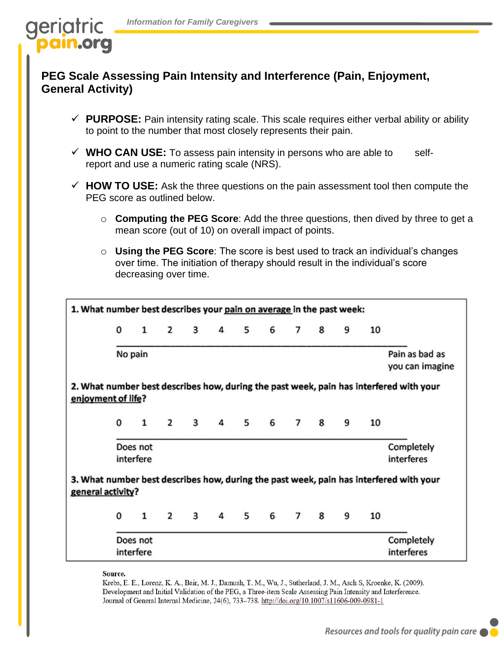

#### **PEG Scale Assessing Pain Intensity and Interference (Pain, Enjoyment, General Activity)**

- $\checkmark$  **PURPOSE:** Pain intensity rating scale. This scale requires either verbal ability or ability to point to the number that most closely represents their pain.
- ✓ **WHO CAN USE:** To assess pain intensity in persons who are able to selfreport and use a numeric rating scale (NRS).
- ✓ **HOW TO USE:** Ask the three questions on the pain assessment tool then compute the PEG score as outlined below.
	- o **Computing the PEG Score**: Add the three questions, then dived by three to get a mean score (out of 10) on overall impact of points.
	- o **Using the PEG Score**: The score is best used to track an individual's changes over time. The initiation of therapy should result in the individual's score decreasing over time.



Source.

Krebs, E. E., Lorenz, K. A., Bair, M. J., Damush, T. M., Wu, J., Sutherland, J. M., Asch S, Kroenke, K. (2009). Development and Initial Validation of the PEG, a Three-item Scale Assessing Pain Intensity and Interference. Journal of General Internal Medicine, 24(6), 733-738. http://doi.org/10.1007/s11606-009-0981-1